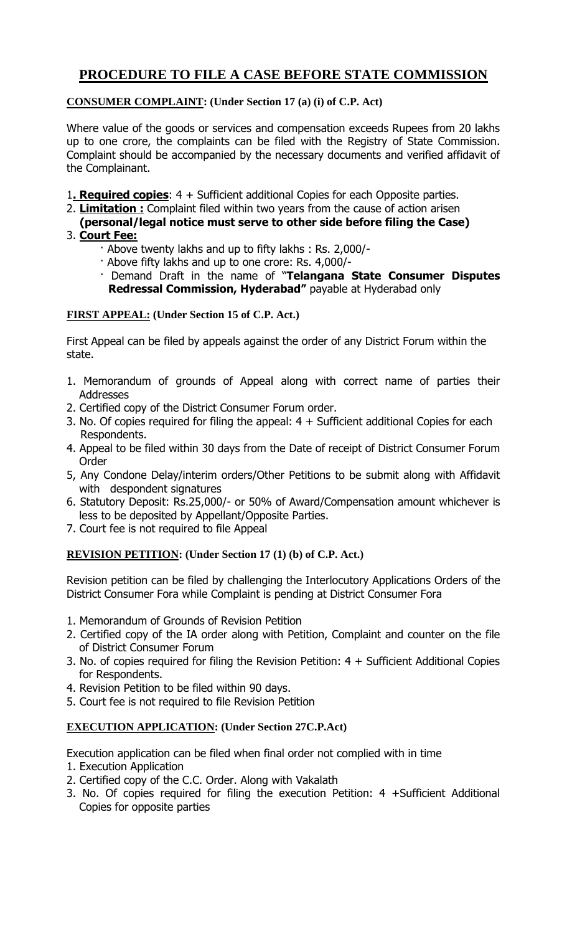# **PROCEDURE TO FILE A CASE BEFORE STATE COMMISSION**

# **CONSUMER COMPLAINT: (Under Section 17 (a) (i) of C.P. Act)**

Where value of the goods or services and compensation exceeds Rupees from 20 lakhs up to one crore, the complaints can be filed with the Registry of State Commission. Complaint should be accompanied by the necessary documents and verified affidavit of the Complainant.

- 1**. Required copies**: 4 + Sufficient additional Copies for each Opposite parties.
- 2. **Limitation :** Complaint filed within two years from the cause of action arisen
- **(personal/legal notice must serve to other side before filing the Case)** 3. **Court Fee:**
- - · Above twenty lakhs and up to fifty lakhs : Rs. 2,000/-
	- · Above fifty lakhs and up to one crore: Rs. 4,000/-
	- · Demand Draft in the name of "**Telangana State Consumer Disputes Redressal Commission, Hyderabad"** payable at Hyderabad only

## **FIRST APPEAL: (Under Section 15 of C.P. Act.)**

First Appeal can be filed by appeals against the order of any District Forum within the state.

- 1. Memorandum of grounds of Appeal along with correct name of parties their Addresses
- 2. Certified copy of the District Consumer Forum order.
- 3. No. Of copies required for filing the appeal:  $4 + S$ ufficient additional Copies for each Respondents.
- 4. Appeal to be filed within 30 days from the Date of receipt of District Consumer Forum **Order**
- 5, Any Condone Delay/interim orders/Other Petitions to be submit along with Affidavit with despondent signatures
- 6. Statutory Deposit: Rs.25,000/- or 50% of Award/Compensation amount whichever is less to be deposited by Appellant/Opposite Parties.
- 7. Court fee is not required to file Appeal

# **REVISION PETITION: (Under Section 17 (1) (b) of C.P. Act.)**

Revision petition can be filed by challenging the Interlocutory Applications Orders of the District Consumer Fora while Complaint is pending at District Consumer Fora

- 1. Memorandum of Grounds of Revision Petition
- 2. Certified copy of the IA order along with Petition, Complaint and counter on the file of District Consumer Forum
- 3. No. of copies required for filing the Revision Petition: 4 + Sufficient Additional Copies for Respondents.
- 4. Revision Petition to be filed within 90 days.
- 5. Court fee is not required to file Revision Petition

#### **EXECUTION APPLICATION: (Under Section 27C.P.Act)**

Execution application can be filed when final order not complied with in time

- 1. Execution Application
- 2. Certified copy of the C.C. Order. Along with Vakalath
- 3. No. Of copies required for filing the execution Petition: 4 +Sufficient Additional Copies for opposite parties